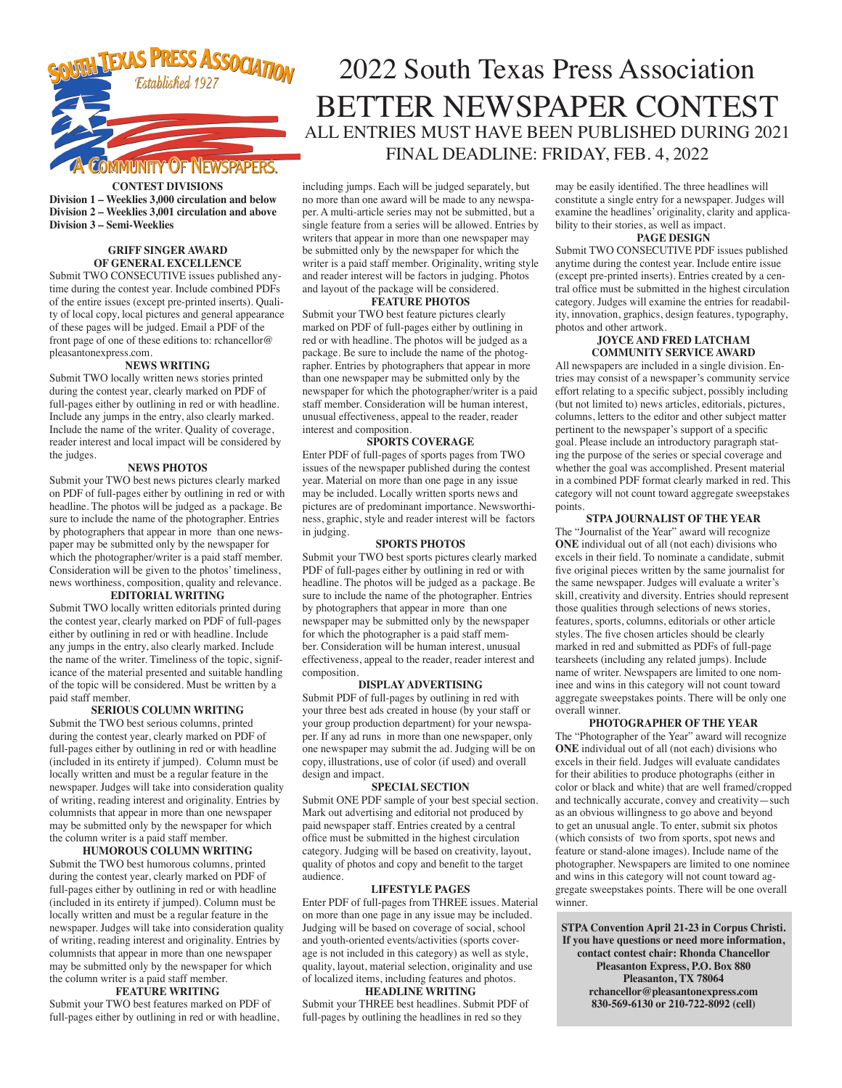

### **CONTEST DIVISIONS**

**Division 1 – Weeklies 3,000 circulation and below Division 2 – Weeklies 3,001 circulation and above Division 3 – Semi-Weeklies** 

### **GRIFF SINGER AWARD OF GENERAL EXCELLENCE**

Submit TWO CONSECUTIVE issues published anytime during the contest year. Include combined PDFs of the entire issues (except pre-printed inserts). Quality of local copy, local pictures and general appearance of these pages will be judged. Email a PDF of the front page of one of these editions to: rchancellor@ pleasantonexpress.com.

#### **NEWS WRITING**

Submit TWO locally written news stories printed during the contest year, clearly marked on PDF of full-pages either by outlining in red or with headline. Include any jumps in the entry, also clearly marked. Include the name of the writer. Quality of coverage, reader interest and local impact will be considered by the judges.

#### **NEWS PHOTOS**

Submit your TWO best news pictures clearly marked on PDF of full-pages either by outlining in red or with headline. The photos will be judged as a package. Be sure to include the name of the photographer. Entries by photographers that appear in more than one newspaper may be submitted only by the newspaper for which the photographer/writer is a paid staff member. Consideration will be given to the photos' timeliness, news worthiness, composition, quality and relevance.

### **EDITORIAL WRITING**

Submit TWO locally written editorials printed during the contest year, clearly marked on PDF of full-pages either by outlining in red or with headline. Include any jumps in the entry, also clearly marked. Include the name of the writer. Timeliness of the topic, significance of the material presented and suitable handling of the topic will be considered. Must be written by a paid staff member.

### **SERIOUS COLUMN WRITING**

Submit the TWO best serious columns, printed during the contest year, clearly marked on PDF of full-pages either by outlining in red or with headline (included in its entirety if jumped). Column must be locally written and must be a regular feature in the newspaper. Judges will take into consideration quality of writing, reading interest and originality. Entries by columnists that appear in more than one newspaper may be submitted only by the newspaper for which the column writer is a paid staff member.

**HUMOROUS COLUMN WRITING** Submit the TWO best humorous columns, printed during the contest year, clearly marked on PDF of full-pages either by outlining in red or with headline (included in its entirety if jumped). Column must be locally written and must be a regular feature in the newspaper. Judges will take into consideration quality of writing, reading interest and originality. Entries by columnists that appear in more than one newspaper may be submitted only by the newspaper for which the column writer is a paid staff member.

#### **FEATURE WRITING**

Submit your TWO best features marked on PDF of full-pages either by outlining in red or with headline,

# 2022 South Texas Press Association BETTER NEWSPAPER CONTEST ALL ENTRIES MUST HAVE BEEN PUBLISHED DURING 2021 FINAL DEADLINE: FRIDAY, FEB. 4, 2022

including jumps. Each will be judged separately, but no more than one award will be made to any newspaper. A multi-article series may not be submitted, but a single feature from a series will be allowed. Entries by writers that appear in more than one newspaper may be submitted only by the newspaper for which the writer is a paid staff member. Originality, writing style and reader interest will be factors in judging. Photos and layout of the package will be considered.

#### **FEATURE PHOTOS**

Submit your TWO best feature pictures clearly marked on PDF of full-pages either by outlining in red or with headline. The photos will be judged as a package. Be sure to include the name of the photographer. Entries by photographers that appear in more than one newspaper may be submitted only by the newspaper for which the photographer/writer is a paid staff member. Consideration will be human interest, unusual effectiveness, appeal to the reader, reader interest and composition.

#### **SPORTS COVERAGE**

Enter PDF of full-pages of sports pages from TWO issues of the newspaper published during the contest year. Material on more than one page in any issue may be included. Locally written sports news and pictures are of predominant importance. Newsworthiness, graphic, style and reader interest will be factors in judging.

#### **SPORTS PHOTOS**

Submit your TWO best sports pictures clearly marked PDF of full-pages either by outlining in red or with headline. The photos will be judged as a package. Be sure to include the name of the photographer. Entries by photographers that appear in more than one newspaper may be submitted only by the newspaper for which the photographer is a paid staff member. Consideration will be human interest, unusual effectiveness, appeal to the reader, reader interest and composition.

#### **DISPLAY ADVERTISING**

Submit PDF of full-pages by outlining in red with your three best ads created in house (by your staff or your group production department) for your newspaper. If any ad runs in more than one newspaper, only one newspaper may submit the ad. Judging will be on copy, illustrations, use of color (if used) and overall design and impact.

#### **SPECIAL SECTION**

Submit ONE PDF sample of your best special section. Mark out advertising and editorial not produced by paid newspaper staff. Entries created by a central office must be submitted in the highest circulation category. Judging will be based on creativity, layout, quality of photos and copy and benefit to the target audience.

#### **LIFESTYLE PAGES**

Enter PDF of full-pages from THREE issues. Material on more than one page in any issue may be included. Judging will be based on coverage of social, school and youth-oriented events/activities (sports coverage is not included in this category) as well as style, quality, layout, material selection, originality and use of localized items, including features and photos.

#### **HEADLINE WRITING**

Submit your THREE best headlines. Submit PDF of full-pages by outlining the headlines in red so they

may be easily identified. The three headlines will constitute a single entry for a newspaper. Judges will examine the headlines' originality, clarity and applicability to their stories, as well as impact.

#### **PAGE DESIGN**

Submit TWO CONSECUTIVE PDF issues published anytime during the contest year. Include entire issue (except pre-printed inserts). Entries created by a central office must be submitted in the highest circulation category. Judges will examine the entries for readability, innovation, graphics, design features, typography, photos and other artwork.

#### **JOYCE AND FRED LATCHAM COMMUNITY SERVICE AWARD**

All newspapers are included in a single division. Entries may consist of a newspaper's community service effort relating to a specific subject, possibly including (but not limited to) news articles, editorials, pictures, columns, letters to the editor and other subject matter pertinent to the newspaper's support of a specific goal. Please include an introductory paragraph stating the purpose of the series or special coverage and whether the goal was accomplished. Present material in a combined PDF format clearly marked in red. This category will not count toward aggregate sweepstakes points.

#### **STPA JOURNALIST OF THE YEAR**

The "Journalist of the Year" award will recognize **ONE** individual out of all (not each) divisions who excels in their field. To nominate a candidate, submit five original pieces written by the same journalist for the same newspaper. Judges will evaluate a writer's skill, creativity and diversity. Entries should represent those qualities through selections of news stories, features, sports, columns, editorials or other article styles. The five chosen articles should be clearly marked in red and submitted as PDFs of full-page tearsheets (including any related jumps). Include name of writer. Newspapers are limited to one nominee and wins in this category will not count toward aggregate sweepstakes points. There will be only one overall winner.

**PHOTOGRAPHER OF THE YEAR**  The "Photographer of the Year" award will recognize **ONE** individual out of all (not each) divisions who excels in their field. Judges will evaluate candidates for their abilities to produce photographs (either in color or black and white) that are well framed/cropped and technically accurate, convey and creativity—such as an obvious willingness to go above and beyond to get an unusual angle. To enter, submit six photos (which consists of two from sports, spot news and feature or stand-alone images). Include name of the photographer. Newspapers are limited to one nominee and wins in this category will not count toward aggregate sweepstakes points. There will be one overall winner.

**STPA Convention April 21-23 in Corpus Christi. If you have questions or need more information, contact contest chair: Rhonda Chancellor Pleasanton Express, P.O. Box 880 Pleasanton, TX 78064 rchancellor@pleasantonexpress.com 830-569-6130 or 210-722-8092 (cell)**